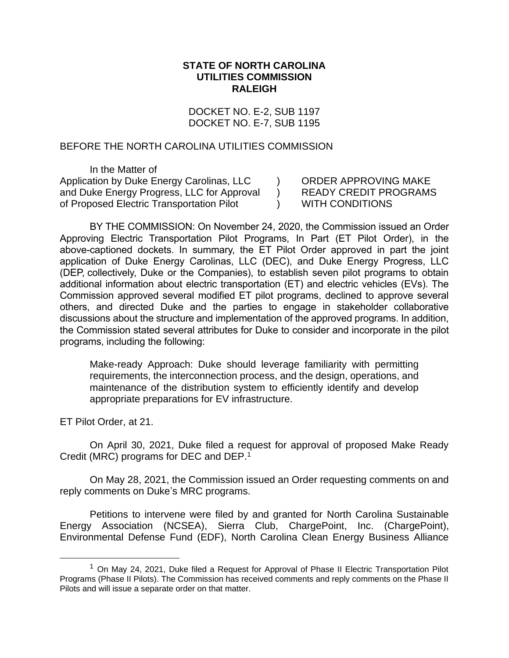### **STATE OF NORTH CAROLINA UTILITIES COMMISSION RALEIGH**

DOCKET NO. E-2, SUB 1197 DOCKET NO. E-7, SUB 1195

> $\lambda$  $\mathcal{L}$  $\mathcal{L}$

### BEFORE THE NORTH CAROLINA UTILITIES COMMISSION

In the Matter of Application by Duke Energy Carolinas, LLC and Duke Energy Progress, LLC for Approval of Proposed Electric Transportation Pilot

ORDER APPROVING MAKE READY CREDIT PROGRAMS WITH CONDITIONS

BY THE COMMISSION: On November 24, 2020, the Commission issued an Order Approving Electric Transportation Pilot Programs, In Part (ET Pilot Order), in the above-captioned dockets. In summary, the ET Pilot Order approved in part the joint application of Duke Energy Carolinas, LLC (DEC), and Duke Energy Progress, LLC (DEP, collectively, Duke or the Companies), to establish seven pilot programs to obtain additional information about electric transportation (ET) and electric vehicles (EVs). The Commission approved several modified ET pilot programs, declined to approve several others, and directed Duke and the parties to engage in stakeholder collaborative discussions about the structure and implementation of the approved programs. In addition, the Commission stated several attributes for Duke to consider and incorporate in the pilot programs, including the following:

Make-ready Approach: Duke should leverage familiarity with permitting requirements, the interconnection process, and the design, operations, and maintenance of the distribution system to efficiently identify and develop appropriate preparations for EV infrastructure.

ET Pilot Order, at 21.

On April 30, 2021, Duke filed a request for approval of proposed Make Ready Credit (MRC) programs for DEC and DEP.<sup>1</sup>

On May 28, 2021, the Commission issued an Order requesting comments on and reply comments on Duke's MRC programs.

Petitions to intervene were filed by and granted for North Carolina Sustainable Energy Association (NCSEA), Sierra Club, ChargePoint, Inc. (ChargePoint), Environmental Defense Fund (EDF), North Carolina Clean Energy Business Alliance

 $1$  On May 24, 2021, Duke filed a Request for Approval of Phase II Electric Transportation Pilot Programs (Phase II Pilots). The Commission has received comments and reply comments on the Phase II Pilots and will issue a separate order on that matter.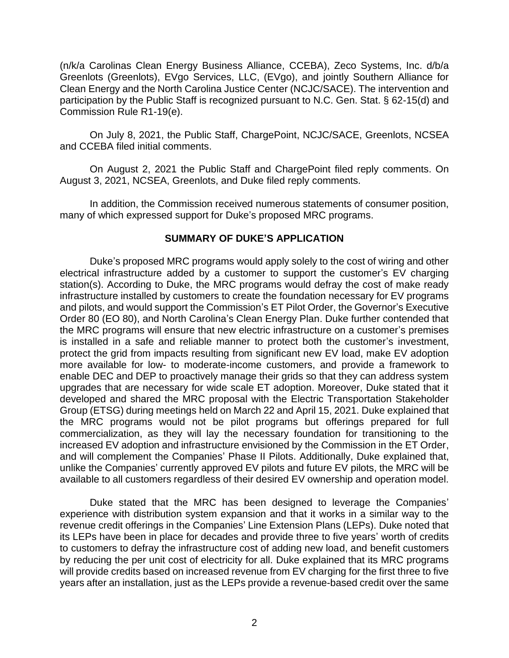(n/k/a Carolinas Clean Energy Business Alliance, CCEBA), Zeco Systems, Inc. d/b/a Greenlots (Greenlots), EVgo Services, LLC, (EVgo), and jointly Southern Alliance for Clean Energy and the North Carolina Justice Center (NCJC/SACE). The intervention and participation by the Public Staff is recognized pursuant to N.C. Gen. Stat. § 62-15(d) and Commission Rule R1-19(e).

On July 8, 2021, the Public Staff, ChargePoint, NCJC/SACE, Greenlots, NCSEA and CCEBA filed initial comments.

On August 2, 2021 the Public Staff and ChargePoint filed reply comments. On August 3, 2021, NCSEA, Greenlots, and Duke filed reply comments.

In addition, the Commission received numerous statements of consumer position, many of which expressed support for Duke's proposed MRC programs.

## **SUMMARY OF DUKE'S APPLICATION**

Duke's proposed MRC programs would apply solely to the cost of wiring and other electrical infrastructure added by a customer to support the customer's EV charging station(s). According to Duke, the MRC programs would defray the cost of make ready infrastructure installed by customers to create the foundation necessary for EV programs and pilots, and would support the Commission's ET Pilot Order, the Governor's Executive Order 80 (EO 80), and North Carolina's Clean Energy Plan. Duke further contended that the MRC programs will ensure that new electric infrastructure on a customer's premises is installed in a safe and reliable manner to protect both the customer's investment, protect the grid from impacts resulting from significant new EV load, make EV adoption more available for low- to moderate-income customers, and provide a framework to enable DEC and DEP to proactively manage their grids so that they can address system upgrades that are necessary for wide scale ET adoption. Moreover, Duke stated that it developed and shared the MRC proposal with the Electric Transportation Stakeholder Group (ETSG) during meetings held on March 22 and April 15, 2021. Duke explained that the MRC programs would not be pilot programs but offerings prepared for full commercialization, as they will lay the necessary foundation for transitioning to the increased EV adoption and infrastructure envisioned by the Commission in the ET Order, and will complement the Companies' Phase II Pilots. Additionally, Duke explained that, unlike the Companies' currently approved EV pilots and future EV pilots, the MRC will be available to all customers regardless of their desired EV ownership and operation model.

Duke stated that the MRC has been designed to leverage the Companies' experience with distribution system expansion and that it works in a similar way to the revenue credit offerings in the Companies' Line Extension Plans (LEPs). Duke noted that its LEPs have been in place for decades and provide three to five years' worth of credits to customers to defray the infrastructure cost of adding new load, and benefit customers by reducing the per unit cost of electricity for all. Duke explained that its MRC programs will provide credits based on increased revenue from EV charging for the first three to five years after an installation, just as the LEPs provide a revenue-based credit over the same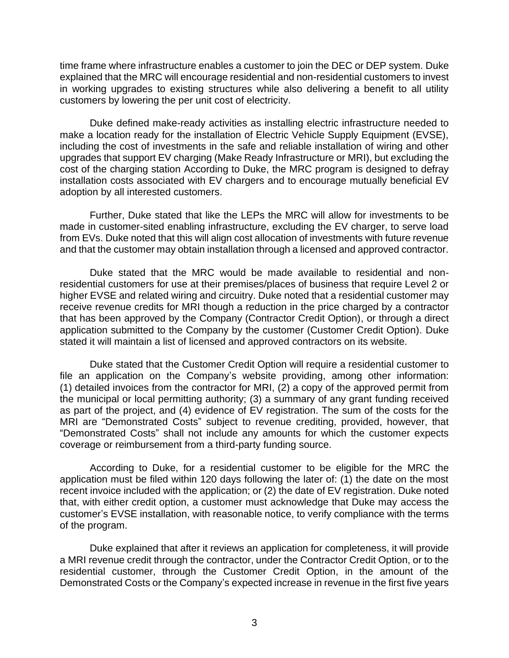time frame where infrastructure enables a customer to join the DEC or DEP system. Duke explained that the MRC will encourage residential and non-residential customers to invest in working upgrades to existing structures while also delivering a benefit to all utility customers by lowering the per unit cost of electricity.

Duke defined make-ready activities as installing electric infrastructure needed to make a location ready for the installation of Electric Vehicle Supply Equipment (EVSE), including the cost of investments in the safe and reliable installation of wiring and other upgrades that support EV charging (Make Ready Infrastructure or MRI), but excluding the cost of the charging station According to Duke, the MRC program is designed to defray installation costs associated with EV chargers and to encourage mutually beneficial EV adoption by all interested customers.

Further, Duke stated that like the LEPs the MRC will allow for investments to be made in customer-sited enabling infrastructure, excluding the EV charger, to serve load from EVs. Duke noted that this will align cost allocation of investments with future revenue and that the customer may obtain installation through a licensed and approved contractor.

Duke stated that the MRC would be made available to residential and nonresidential customers for use at their premises/places of business that require Level 2 or higher EVSE and related wiring and circuitry. Duke noted that a residential customer may receive revenue credits for MRI though a reduction in the price charged by a contractor that has been approved by the Company (Contractor Credit Option), or through a direct application submitted to the Company by the customer (Customer Credit Option). Duke stated it will maintain a list of licensed and approved contractors on its website.

Duke stated that the Customer Credit Option will require a residential customer to file an application on the Company's website providing, among other information: (1) detailed invoices from the contractor for MRI, (2) a copy of the approved permit from the municipal or local permitting authority; (3) a summary of any grant funding received as part of the project, and (4) evidence of EV registration. The sum of the costs for the MRI are "Demonstrated Costs" subject to revenue crediting, provided, however, that "Demonstrated Costs" shall not include any amounts for which the customer expects coverage or reimbursement from a third-party funding source.

According to Duke, for a residential customer to be eligible for the MRC the application must be filed within 120 days following the later of: (1) the date on the most recent invoice included with the application; or (2) the date of EV registration. Duke noted that, with either credit option, a customer must acknowledge that Duke may access the customer's EVSE installation, with reasonable notice, to verify compliance with the terms of the program.

Duke explained that after it reviews an application for completeness, it will provide a MRI revenue credit through the contractor, under the Contractor Credit Option, or to the residential customer, through the Customer Credit Option, in the amount of the Demonstrated Costs or the Company's expected increase in revenue in the first five years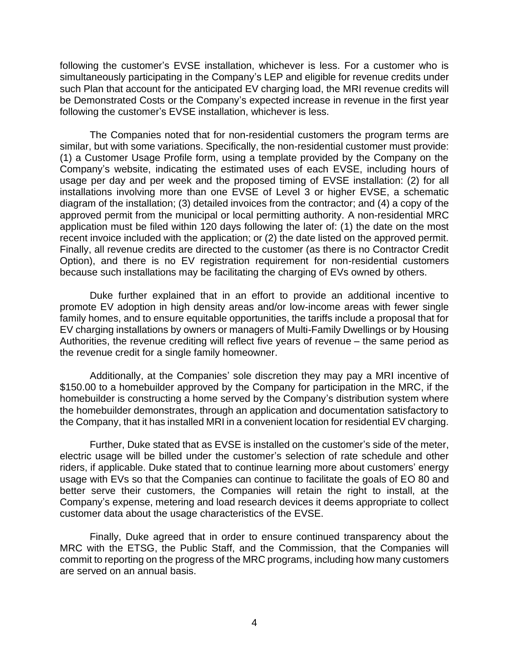following the customer's EVSE installation, whichever is less. For a customer who is simultaneously participating in the Company's LEP and eligible for revenue credits under such Plan that account for the anticipated EV charging load, the MRI revenue credits will be Demonstrated Costs or the Company's expected increase in revenue in the first year following the customer's EVSE installation, whichever is less.

The Companies noted that for non-residential customers the program terms are similar, but with some variations. Specifically, the non-residential customer must provide: (1) a Customer Usage Profile form, using a template provided by the Company on the Company's website, indicating the estimated uses of each EVSE, including hours of usage per day and per week and the proposed timing of EVSE installation: (2) for all installations involving more than one EVSE of Level 3 or higher EVSE, a schematic diagram of the installation; (3) detailed invoices from the contractor; and (4) a copy of the approved permit from the municipal or local permitting authority. A non-residential MRC application must be filed within 120 days following the later of: (1) the date on the most recent invoice included with the application; or (2) the date listed on the approved permit. Finally, all revenue credits are directed to the customer (as there is no Contractor Credit Option), and there is no EV registration requirement for non-residential customers because such installations may be facilitating the charging of EVs owned by others.

Duke further explained that in an effort to provide an additional incentive to promote EV adoption in high density areas and/or low-income areas with fewer single family homes, and to ensure equitable opportunities, the tariffs include a proposal that for EV charging installations by owners or managers of Multi-Family Dwellings or by Housing Authorities, the revenue crediting will reflect five years of revenue – the same period as the revenue credit for a single family homeowner.

Additionally, at the Companies' sole discretion they may pay a MRI incentive of \$150.00 to a homebuilder approved by the Company for participation in the MRC, if the homebuilder is constructing a home served by the Company's distribution system where the homebuilder demonstrates, through an application and documentation satisfactory to the Company, that it has installed MRI in a convenient location for residential EV charging.

Further, Duke stated that as EVSE is installed on the customer's side of the meter, electric usage will be billed under the customer's selection of rate schedule and other riders, if applicable. Duke stated that to continue learning more about customers' energy usage with EVs so that the Companies can continue to facilitate the goals of EO 80 and better serve their customers, the Companies will retain the right to install, at the Company's expense, metering and load research devices it deems appropriate to collect customer data about the usage characteristics of the EVSE.

Finally, Duke agreed that in order to ensure continued transparency about the MRC with the ETSG, the Public Staff, and the Commission, that the Companies will commit to reporting on the progress of the MRC programs, including how many customers are served on an annual basis.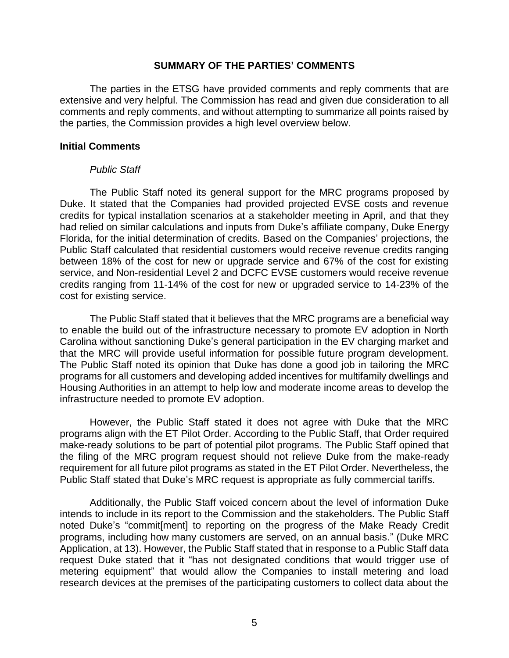#### **SUMMARY OF THE PARTIES' COMMENTS**

The parties in the ETSG have provided comments and reply comments that are extensive and very helpful. The Commission has read and given due consideration to all comments and reply comments, and without attempting to summarize all points raised by the parties, the Commission provides a high level overview below.

#### **Initial Comments**

#### *Public Staff*

The Public Staff noted its general support for the MRC programs proposed by Duke. It stated that the Companies had provided projected EVSE costs and revenue credits for typical installation scenarios at a stakeholder meeting in April, and that they had relied on similar calculations and inputs from Duke's affiliate company, Duke Energy Florida, for the initial determination of credits. Based on the Companies' projections, the Public Staff calculated that residential customers would receive revenue credits ranging between 18% of the cost for new or upgrade service and 67% of the cost for existing service, and Non-residential Level 2 and DCFC EVSE customers would receive revenue credits ranging from 11-14% of the cost for new or upgraded service to 14-23% of the cost for existing service.

The Public Staff stated that it believes that the MRC programs are a beneficial way to enable the build out of the infrastructure necessary to promote EV adoption in North Carolina without sanctioning Duke's general participation in the EV charging market and that the MRC will provide useful information for possible future program development. The Public Staff noted its opinion that Duke has done a good job in tailoring the MRC programs for all customers and developing added incentives for multifamily dwellings and Housing Authorities in an attempt to help low and moderate income areas to develop the infrastructure needed to promote EV adoption.

However, the Public Staff stated it does not agree with Duke that the MRC programs align with the ET Pilot Order. According to the Public Staff, that Order required make-ready solutions to be part of potential pilot programs. The Public Staff opined that the filing of the MRC program request should not relieve Duke from the make-ready requirement for all future pilot programs as stated in the ET Pilot Order. Nevertheless, the Public Staff stated that Duke's MRC request is appropriate as fully commercial tariffs.

Additionally, the Public Staff voiced concern about the level of information Duke intends to include in its report to the Commission and the stakeholders. The Public Staff noted Duke's "commit[ment] to reporting on the progress of the Make Ready Credit programs, including how many customers are served, on an annual basis." (Duke MRC Application, at 13). However, the Public Staff stated that in response to a Public Staff data request Duke stated that it "has not designated conditions that would trigger use of metering equipment" that would allow the Companies to install metering and load research devices at the premises of the participating customers to collect data about the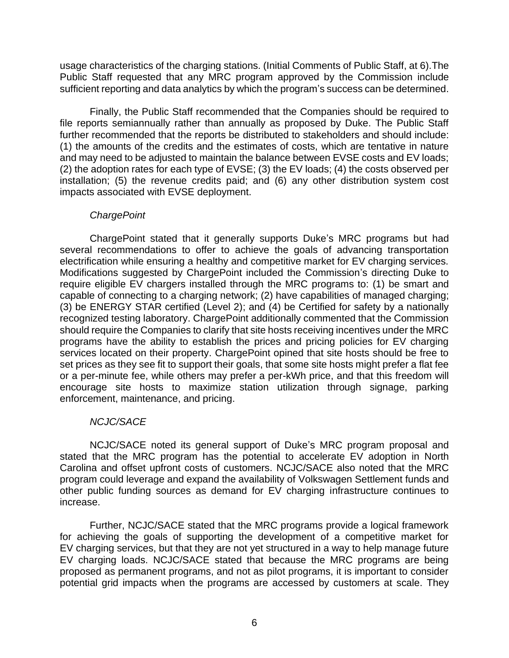usage characteristics of the charging stations. (Initial Comments of Public Staff, at 6).The Public Staff requested that any MRC program approved by the Commission include sufficient reporting and data analytics by which the program's success can be determined.

Finally, the Public Staff recommended that the Companies should be required to file reports semiannually rather than annually as proposed by Duke. The Public Staff further recommended that the reports be distributed to stakeholders and should include: (1) the amounts of the credits and the estimates of costs, which are tentative in nature and may need to be adjusted to maintain the balance between EVSE costs and EV loads; (2) the adoption rates for each type of EVSE; (3) the EV loads; (4) the costs observed per installation; (5) the revenue credits paid; and (6) any other distribution system cost impacts associated with EVSE deployment.

# *ChargePoint*

ChargePoint stated that it generally supports Duke's MRC programs but had several recommendations to offer to achieve the goals of advancing transportation electrification while ensuring a healthy and competitive market for EV charging services. Modifications suggested by ChargePoint included the Commission's directing Duke to require eligible EV chargers installed through the MRC programs to: (1) be smart and capable of connecting to a charging network; (2) have capabilities of managed charging; (3) be ENERGY STAR certified (Level 2); and  $(4)$  be Certified for safety by a nationally recognized testing laboratory. ChargePoint additionally commented that the Commission should require the Companies to clarify that site hosts receiving incentives under the MRC programs have the ability to establish the prices and pricing policies for EV charging services located on their property. ChargePoint opined that site hosts should be free to set prices as they see fit to support their goals, that some site hosts might prefer a flat fee or a per-minute fee, while others may prefer a per-kWh price, and that this freedom will encourage site hosts to maximize station utilization through signage, parking enforcement, maintenance, and pricing.

# *NCJC/SACE*

NCJC/SACE noted its general support of Duke's MRC program proposal and stated that the MRC program has the potential to accelerate EV adoption in North Carolina and offset upfront costs of customers. NCJC/SACE also noted that the MRC program could leverage and expand the availability of Volkswagen Settlement funds and other public funding sources as demand for EV charging infrastructure continues to increase.

Further, NCJC/SACE stated that the MRC programs provide a logical framework for achieving the goals of supporting the development of a competitive market for EV charging services, but that they are not yet structured in a way to help manage future EV charging loads. NCJC/SACE stated that because the MRC programs are being proposed as permanent programs, and not as pilot programs, it is important to consider potential grid impacts when the programs are accessed by customers at scale. They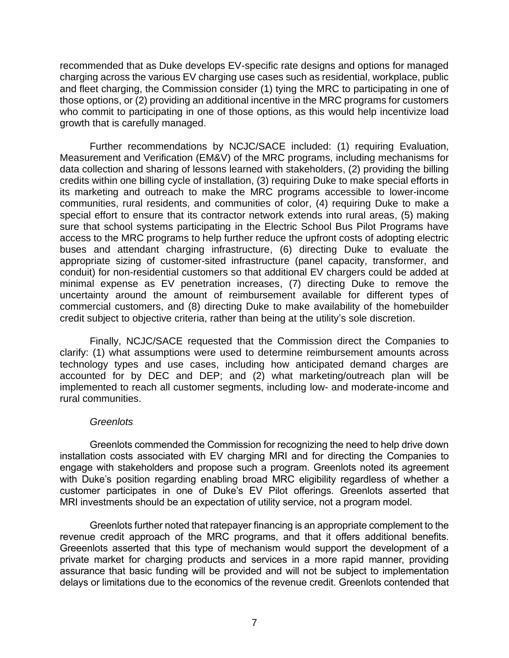recommended that as Duke develops EV-specific rate designs and options for managed charging across the various EV charging use cases such as residential, workplace, public and fleet charging, the Commission consider (1) tying the MRC to participating in one of those options, or (2) providing an additional incentive in the MRC programs for customers who commit to participating in one of those options, as this would help incentivize load growth that is carefully managed.

Further recommendations by NCJC/SACE included: (1) requiring Evaluation, Measurement and Verification (EM&V) of the MRC programs, including mechanisms for data collection and sharing of lessons learned with stakeholders, (2) providing the billing credits within one billing cycle of installation, (3) requiring Duke to make special efforts in its marketing and outreach to make the MRC programs accessible to lower-income communities, rural residents, and communities of color, (4) requiring Duke to make a special effort to ensure that its contractor network extends into rural areas, (5) making sure that school systems participating in the Electric School Bus Pilot Programs have access to the MRC programs to help further reduce the upfront costs of adopting electric buses and attendant charging infrastructure, (6) directing Duke to evaluate the appropriate sizing of customer-sited infrastructure (panel capacity, transformer, and conduit) for non-residential customers so that additional EV chargers could be added at minimal expense as EV penetration increases, (7) directing Duke to remove the uncertainty around the amount of reimbursement available for different types of commercial customers, and (8) directing Duke to make availability of the homebuilder credit subject to objective criteria, rather than being at the utility's sole discretion.

Finally, NCJC/SACE requested that the Commission direct the Companies to clarify: (1) what assumptions were used to determine reimbursement amounts across technology types and use cases, including how anticipated demand charges are accounted for by DEC and DEP; and (2) what marketing/outreach plan will be implemented to reach all customer segments, including low- and moderate-income and rural communities.

## *Greenlots*

Greenlots commended the Commission for recognizing the need to help drive down installation costs associated with EV charging MRI and for directing the Companies to engage with stakeholders and propose such a program. Greenlots noted its agreement with Duke's position regarding enabling broad MRC eligibility regardless of whether a customer participates in one of Duke's EV Pilot offerings. Greenlots asserted that MRI investments should be an expectation of utility service, not a program model.

Greenlots further noted that ratepayer financing is an appropriate complement to the revenue credit approach of the MRC programs, and that it offers additional benefits. Greeenlots asserted that this type of mechanism would support the development of a private market for charging products and services in a more rapid manner, providing assurance that basic funding will be provided and will not be subject to implementation delays or limitations due to the economics of the revenue credit. Greenlots contended that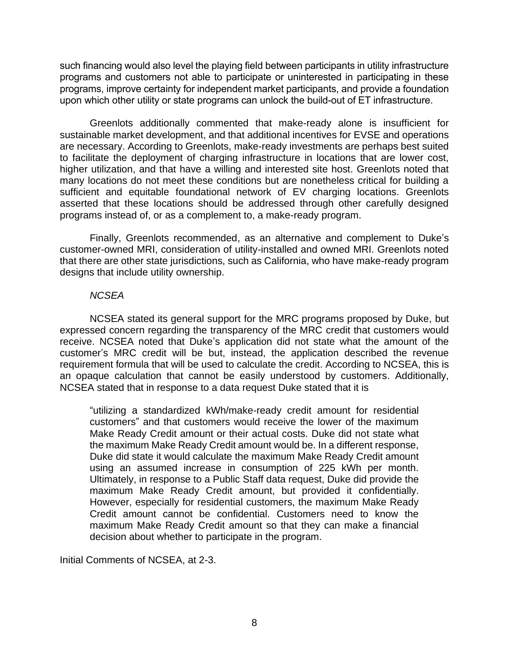such financing would also level the playing field between participants in utility infrastructure programs and customers not able to participate or uninterested in participating in these programs, improve certainty for independent market participants, and provide a foundation upon which other utility or state programs can unlock the build-out of ET infrastructure.

Greenlots additionally commented that make-ready alone is insufficient for sustainable market development, and that additional incentives for EVSE and operations are necessary. According to Greenlots, make-ready investments are perhaps best suited to facilitate the deployment of charging infrastructure in locations that are lower cost, higher utilization, and that have a willing and interested site host. Greenlots noted that many locations do not meet these conditions but are nonetheless critical for building a sufficient and equitable foundational network of EV charging locations. Greenlots asserted that these locations should be addressed through other carefully designed programs instead of, or as a complement to, a make-ready program.

Finally, Greenlots recommended, as an alternative and complement to Duke's customer-owned MRI, consideration of utility-installed and owned MRI. Greenlots noted that there are other state jurisdictions, such as California, who have make-ready program designs that include utility ownership.

## *NCSEA*

NCSEA stated its general support for the MRC programs proposed by Duke, but expressed concern regarding the transparency of the MRC credit that customers would receive. NCSEA noted that Duke's application did not state what the amount of the customer's MRC credit will be but, instead, the application described the revenue requirement formula that will be used to calculate the credit. According to NCSEA, this is an opaque calculation that cannot be easily understood by customers. Additionally, NCSEA stated that in response to a data request Duke stated that it is

"utilizing a standardized kWh/make-ready credit amount for residential customers" and that customers would receive the lower of the maximum Make Ready Credit amount or their actual costs. Duke did not state what the maximum Make Ready Credit amount would be. In a different response, Duke did state it would calculate the maximum Make Ready Credit amount using an assumed increase in consumption of 225 kWh per month. Ultimately, in response to a Public Staff data request, Duke did provide the maximum Make Ready Credit amount, but provided it confidentially. However, especially for residential customers, the maximum Make Ready Credit amount cannot be confidential. Customers need to know the maximum Make Ready Credit amount so that they can make a financial decision about whether to participate in the program.

Initial Comments of NCSEA, at 2-3.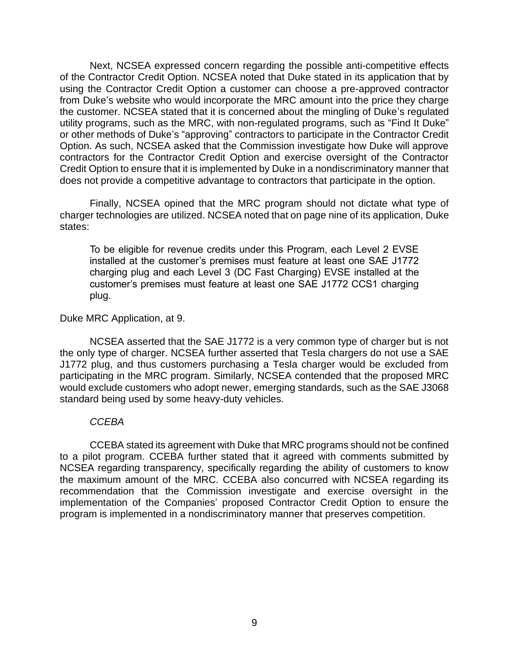Next, NCSEA expressed concern regarding the possible anti-competitive effects of the Contractor Credit Option. NCSEA noted that Duke stated in its application that by using the Contractor Credit Option a customer can choose a pre-approved contractor from Duke's website who would incorporate the MRC amount into the price they charge the customer. NCSEA stated that it is concerned about the mingling of Duke's regulated utility programs, such as the MRC, with non-regulated programs, such as "Find It Duke" or other methods of Duke's "approving" contractors to participate in the Contractor Credit Option. As such, NCSEA asked that the Commission investigate how Duke will approve contractors for the Contractor Credit Option and exercise oversight of the Contractor Credit Option to ensure that it is implemented by Duke in a nondiscriminatory manner that does not provide a competitive advantage to contractors that participate in the option.

Finally, NCSEA opined that the MRC program should not dictate what type of charger technologies are utilized. NCSEA noted that on page nine of its application, Duke states:

To be eligible for revenue credits under this Program, each Level 2 EVSE installed at the customer's premises must feature at least one SAE J1772 charging plug and each Level 3 (DC Fast Charging) EVSE installed at the customer's premises must feature at least one SAE J1772 CCS1 charging plug.

### Duke MRC Application, at 9.

NCSEA asserted that the SAE J1772 is a very common type of charger but is not the only type of charger. NCSEA further asserted that Tesla chargers do not use a SAE J1772 plug, and thus customers purchasing a Tesla charger would be excluded from participating in the MRC program. Similarly, NCSEA contended that the proposed MRC would exclude customers who adopt newer, emerging standards, such as the SAE J3068 standard being used by some heavy-duty vehicles.

#### *CCEBA*

CCEBA stated its agreement with Duke that MRC programs should not be confined to a pilot program. CCEBA further stated that it agreed with comments submitted by NCSEA regarding transparency, specifically regarding the ability of customers to know the maximum amount of the MRC. CCEBA also concurred with NCSEA regarding its recommendation that the Commission investigate and exercise oversight in the implementation of the Companies' proposed Contractor Credit Option to ensure the program is implemented in a nondiscriminatory manner that preserves competition.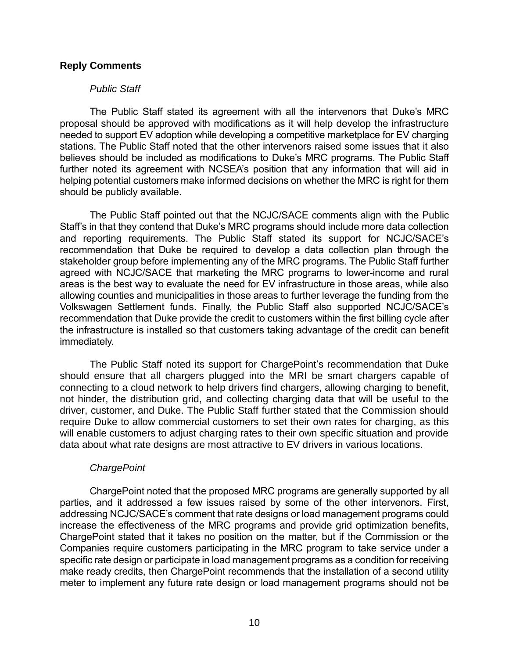### **Reply Comments**

#### *Public Staff*

The Public Staff stated its agreement with all the intervenors that Duke's MRC proposal should be approved with modifications as it will help develop the infrastructure needed to support EV adoption while developing a competitive marketplace for EV charging stations. The Public Staff noted that the other intervenors raised some issues that it also believes should be included as modifications to Duke's MRC programs. The Public Staff further noted its agreement with NCSEA's position that any information that will aid in helping potential customers make informed decisions on whether the MRC is right for them should be publicly available.

The Public Staff pointed out that the NCJC/SACE comments align with the Public Staff's in that they contend that Duke's MRC programs should include more data collection and reporting requirements. The Public Staff stated its support for NCJC/SACE's recommendation that Duke be required to develop a data collection plan through the stakeholder group before implementing any of the MRC programs. The Public Staff further agreed with NCJC/SACE that marketing the MRC programs to lower-income and rural areas is the best way to evaluate the need for EV infrastructure in those areas, while also allowing counties and municipalities in those areas to further leverage the funding from the Volkswagen Settlement funds. Finally, the Public Staff also supported NCJC/SACE's recommendation that Duke provide the credit to customers within the first billing cycle after the infrastructure is installed so that customers taking advantage of the credit can benefit immediately.

The Public Staff noted its support for ChargePoint's recommendation that Duke should ensure that all chargers plugged into the MRI be smart chargers capable of connecting to a cloud network to help drivers find chargers, allowing charging to benefit, not hinder, the distribution grid, and collecting charging data that will be useful to the driver, customer, and Duke. The Public Staff further stated that the Commission should require Duke to allow commercial customers to set their own rates for charging, as this will enable customers to adjust charging rates to their own specific situation and provide data about what rate designs are most attractive to EV drivers in various locations.

#### *ChargePoint*

ChargePoint noted that the proposed MRC programs are generally supported by all parties, and it addressed a few issues raised by some of the other intervenors. First, addressing NCJC/SACE's comment that rate designs or load management programs could increase the effectiveness of the MRC programs and provide grid optimization benefits, ChargePoint stated that it takes no position on the matter, but if the Commission or the Companies require customers participating in the MRC program to take service under a specific rate design or participate in load management programs as a condition for receiving make ready credits, then ChargePoint recommends that the installation of a second utility meter to implement any future rate design or load management programs should not be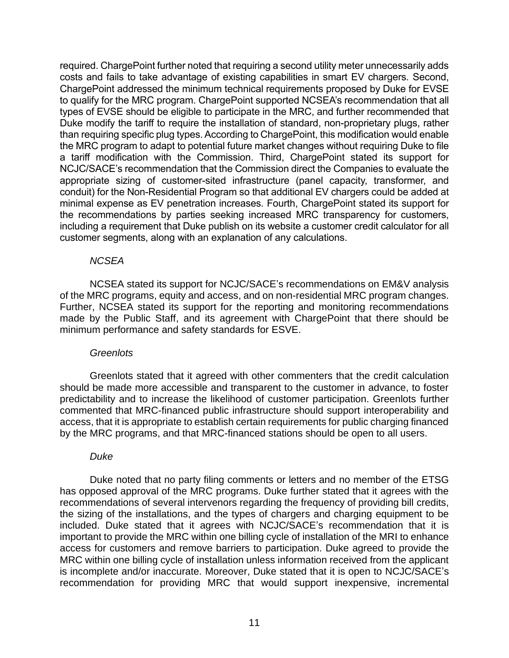required. ChargePoint further noted that requiring a second utility meter unnecessarily adds costs and fails to take advantage of existing capabilities in smart EV chargers. Second, ChargePoint addressed the minimum technical requirements proposed by Duke for EVSE to qualify for the MRC program. ChargePoint supported NCSEA's recommendation that all types of EVSE should be eligible to participate in the MRC, and further recommended that Duke modify the tariff to require the installation of standard, non-proprietary plugs, rather than requiring specific plug types. According to ChargePoint, this modification would enable the MRC program to adapt to potential future market changes without requiring Duke to file a tariff modification with the Commission. Third, ChargePoint stated its support for NCJC/SACE's recommendation that the Commission direct the Companies to evaluate the appropriate sizing of customer-sited infrastructure (panel capacity, transformer, and conduit) for the Non-Residential Program so that additional EV chargers could be added at minimal expense as EV penetration increases. Fourth, ChargePoint stated its support for the recommendations by parties seeking increased MRC transparency for customers, including a requirement that Duke publish on its website a customer credit calculator for all customer segments, along with an explanation of any calculations.

## *NCSEA*

NCSEA stated its support for NCJC/SACE's recommendations on EM&V analysis of the MRC programs, equity and access, and on non-residential MRC program changes. Further, NCSEA stated its support for the reporting and monitoring recommendations made by the Public Staff, and its agreement with ChargePoint that there should be minimum performance and safety standards for ESVE.

#### *Greenlots*

Greenlots stated that it agreed with other commenters that the credit calculation should be made more accessible and transparent to the customer in advance, to foster predictability and to increase the likelihood of customer participation. Greenlots further commented that MRC-financed public infrastructure should support interoperability and access, that it is appropriate to establish certain requirements for public charging financed by the MRC programs, and that MRC-financed stations should be open to all users.

#### *Duke*

Duke noted that no party filing comments or letters and no member of the ETSG has opposed approval of the MRC programs. Duke further stated that it agrees with the recommendations of several intervenors regarding the frequency of providing bill credits, the sizing of the installations, and the types of chargers and charging equipment to be included. Duke stated that it agrees with NCJC/SACE's recommendation that it is important to provide the MRC within one billing cycle of installation of the MRI to enhance access for customers and remove barriers to participation. Duke agreed to provide the MRC within one billing cycle of installation unless information received from the applicant is incomplete and/or inaccurate. Moreover, Duke stated that it is open to NCJC/SACE's recommendation for providing MRC that would support inexpensive, incremental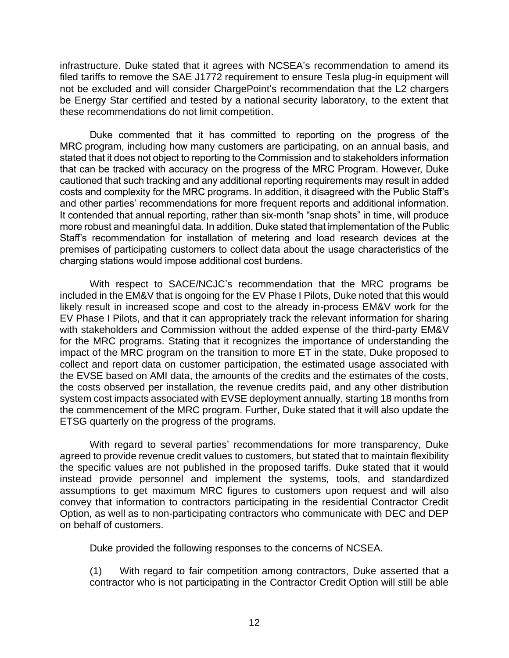infrastructure. Duke stated that it agrees with NCSEA's recommendation to amend its filed tariffs to remove the SAE J1772 requirement to ensure Tesla plug-in equipment will not be excluded and will consider ChargePoint's recommendation that the L2 chargers be Energy Star certified and tested by a national security laboratory, to the extent that these recommendations do not limit competition.

Duke commented that it has committed to reporting on the progress of the MRC program, including how many customers are participating, on an annual basis, and stated that it does not object to reporting to the Commission and to stakeholders information that can be tracked with accuracy on the progress of the MRC Program. However, Duke cautioned that such tracking and any additional reporting requirements may result in added costs and complexity for the MRC programs. In addition, it disagreed with the Public Staff's and other parties' recommendations for more frequent reports and additional information. It contended that annual reporting, rather than six-month "snap shots" in time, will produce more robust and meaningful data. In addition, Duke stated that implementation of the Public Staff's recommendation for installation of metering and load research devices at the premises of participating customers to collect data about the usage characteristics of the charging stations would impose additional cost burdens.

With respect to SACE/NCJC's recommendation that the MRC programs be included in the EM&V that is ongoing for the EV Phase I Pilots, Duke noted that this would likely result in increased scope and cost to the already in-process EM&V work for the EV Phase I Pilots, and that it can appropriately track the relevant information for sharing with stakeholders and Commission without the added expense of the third-party EM&V for the MRC programs. Stating that it recognizes the importance of understanding the impact of the MRC program on the transition to more ET in the state, Duke proposed to collect and report data on customer participation, the estimated usage associated with the EVSE based on AMI data, the amounts of the credits and the estimates of the costs, the costs observed per installation, the revenue credits paid, and any other distribution system cost impacts associated with EVSE deployment annually, starting 18 months from the commencement of the MRC program. Further, Duke stated that it will also update the ETSG quarterly on the progress of the programs.

With regard to several parties' recommendations for more transparency, Duke agreed to provide revenue credit values to customers, but stated that to maintain flexibility the specific values are not published in the proposed tariffs. Duke stated that it would instead provide personnel and implement the systems, tools, and standardized assumptions to get maximum MRC figures to customers upon request and will also convey that information to contractors participating in the residential Contractor Credit Option, as well as to non-participating contractors who communicate with DEC and DEP on behalf of customers.

Duke provided the following responses to the concerns of NCSEA.

(1) With regard to fair competition among contractors, Duke asserted that a contractor who is not participating in the Contractor Credit Option will still be able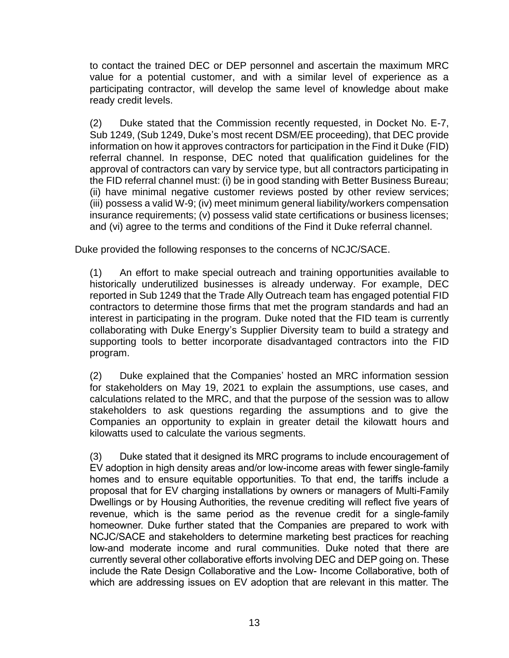to contact the trained DEC or DEP personnel and ascertain the maximum MRC value for a potential customer, and with a similar level of experience as a participating contractor, will develop the same level of knowledge about make ready credit levels.

(2) Duke stated that the Commission recently requested, in Docket No. E-7, Sub 1249, (Sub 1249, Duke's most recent DSM/EE proceeding), that DEC provide information on how it approves contractors for participation in the Find it Duke (FID) referral channel. In response, DEC noted that qualification guidelines for the approval of contractors can vary by service type, but all contractors participating in the FID referral channel must: (i) be in good standing with Better Business Bureau; (ii) have minimal negative customer reviews posted by other review services; (iii) possess a valid W-9; (iv) meet minimum general liability/workers compensation insurance requirements; (v) possess valid state certifications or business licenses; and (vi) agree to the terms and conditions of the Find it Duke referral channel.

Duke provided the following responses to the concerns of NCJC/SACE.

(1) An effort to make special outreach and training opportunities available to historically underutilized businesses is already underway. For example, DEC reported in Sub 1249 that the Trade Ally Outreach team has engaged potential FID contractors to determine those firms that met the program standards and had an interest in participating in the program. Duke noted that the FID team is currently collaborating with Duke Energy's Supplier Diversity team to build a strategy and supporting tools to better incorporate disadvantaged contractors into the FID program.

(2) Duke explained that the Companies' hosted an MRC information session for stakeholders on May 19, 2021 to explain the assumptions, use cases, and calculations related to the MRC, and that the purpose of the session was to allow stakeholders to ask questions regarding the assumptions and to give the Companies an opportunity to explain in greater detail the kilowatt hours and kilowatts used to calculate the various segments.

(3) Duke stated that it designed its MRC programs to include encouragement of EV adoption in high density areas and/or low-income areas with fewer single-family homes and to ensure equitable opportunities. To that end, the tariffs include a proposal that for EV charging installations by owners or managers of Multi-Family Dwellings or by Housing Authorities, the revenue crediting will reflect five years of revenue, which is the same period as the revenue credit for a single-family homeowner. Duke further stated that the Companies are prepared to work with NCJC/SACE and stakeholders to determine marketing best practices for reaching low-and moderate income and rural communities. Duke noted that there are currently several other collaborative efforts involving DEC and DEP going on. These include the Rate Design Collaborative and the Low- Income Collaborative, both of which are addressing issues on EV adoption that are relevant in this matter. The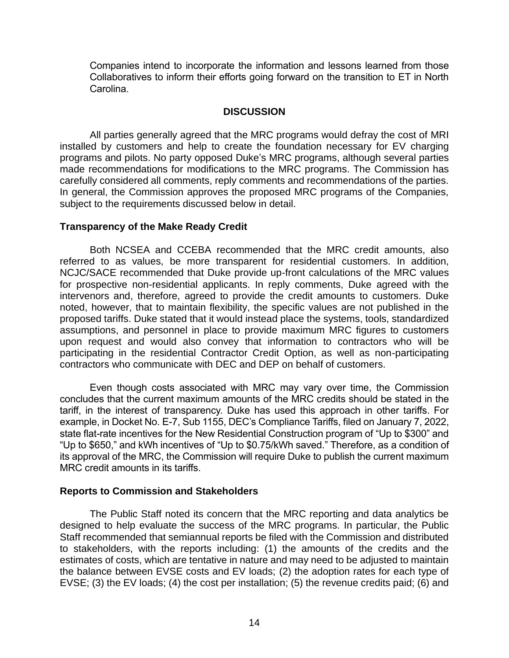Companies intend to incorporate the information and lessons learned from those Collaboratives to inform their efforts going forward on the transition to ET in North Carolina.

### **DISCUSSION**

All parties generally agreed that the MRC programs would defray the cost of MRI installed by customers and help to create the foundation necessary for EV charging programs and pilots. No party opposed Duke's MRC programs, although several parties made recommendations for modifications to the MRC programs. The Commission has carefully considered all comments, reply comments and recommendations of the parties. In general, the Commission approves the proposed MRC programs of the Companies, subject to the requirements discussed below in detail.

#### **Transparency of the Make Ready Credit**

Both NCSEA and CCEBA recommended that the MRC credit amounts, also referred to as values, be more transparent for residential customers. In addition, NCJC/SACE recommended that Duke provide up-front calculations of the MRC values for prospective non-residential applicants. In reply comments, Duke agreed with the intervenors and, therefore, agreed to provide the credit amounts to customers. Duke noted, however, that to maintain flexibility, the specific values are not published in the proposed tariffs. Duke stated that it would instead place the systems, tools, standardized assumptions, and personnel in place to provide maximum MRC figures to customers upon request and would also convey that information to contractors who will be participating in the residential Contractor Credit Option, as well as non-participating contractors who communicate with DEC and DEP on behalf of customers.

Even though costs associated with MRC may vary over time, the Commission concludes that the current maximum amounts of the MRC credits should be stated in the tariff, in the interest of transparency. Duke has used this approach in other tariffs. For example, in Docket No. E-7, Sub 1155, DEC's Compliance Tariffs, filed on January 7, 2022, state flat-rate incentives for the New Residential Construction program of "Up to \$300" and "Up to \$650," and kWh incentives of "Up to \$0.75/kWh saved." Therefore, as a condition of its approval of the MRC, the Commission will require Duke to publish the current maximum MRC credit amounts in its tariffs.

## **Reports to Commission and Stakeholders**

The Public Staff noted its concern that the MRC reporting and data analytics be designed to help evaluate the success of the MRC programs. In particular, the Public Staff recommended that semiannual reports be filed with the Commission and distributed to stakeholders, with the reports including: (1) the amounts of the credits and the estimates of costs, which are tentative in nature and may need to be adjusted to maintain the balance between EVSE costs and EV loads; (2) the adoption rates for each type of EVSE; (3) the EV loads; (4) the cost per installation; (5) the revenue credits paid; (6) and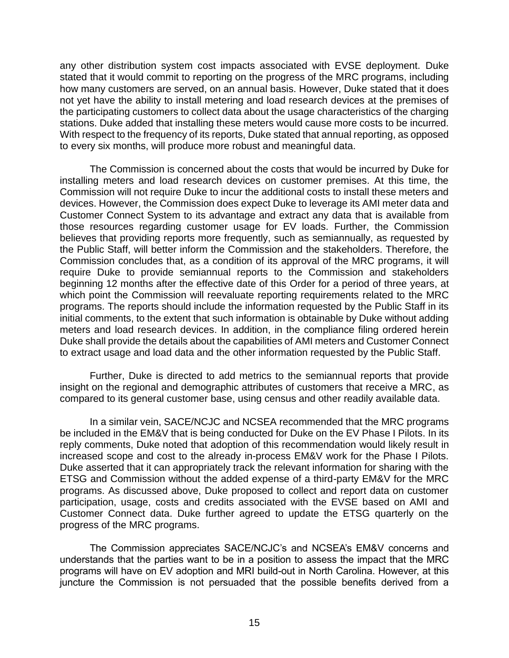any other distribution system cost impacts associated with EVSE deployment. Duke stated that it would commit to reporting on the progress of the MRC programs, including how many customers are served, on an annual basis. However, Duke stated that it does not yet have the ability to install metering and load research devices at the premises of the participating customers to collect data about the usage characteristics of the charging stations. Duke added that installing these meters would cause more costs to be incurred. With respect to the frequency of its reports, Duke stated that annual reporting, as opposed to every six months, will produce more robust and meaningful data.

The Commission is concerned about the costs that would be incurred by Duke for installing meters and load research devices on customer premises. At this time, the Commission will not require Duke to incur the additional costs to install these meters and devices. However, the Commission does expect Duke to leverage its AMI meter data and Customer Connect System to its advantage and extract any data that is available from those resources regarding customer usage for EV loads. Further, the Commission believes that providing reports more frequently, such as semiannually, as requested by the Public Staff, will better inform the Commission and the stakeholders. Therefore, the Commission concludes that, as a condition of its approval of the MRC programs, it will require Duke to provide semiannual reports to the Commission and stakeholders beginning 12 months after the effective date of this Order for a period of three years, at which point the Commission will reevaluate reporting requirements related to the MRC programs. The reports should include the information requested by the Public Staff in its initial comments, to the extent that such information is obtainable by Duke without adding meters and load research devices. In addition, in the compliance filing ordered herein Duke shall provide the details about the capabilities of AMI meters and Customer Connect to extract usage and load data and the other information requested by the Public Staff.

Further, Duke is directed to add metrics to the semiannual reports that provide insight on the regional and demographic attributes of customers that receive a MRC, as compared to its general customer base, using census and other readily available data.

In a similar vein, SACE/NCJC and NCSEA recommended that the MRC programs be included in the EM&V that is being conducted for Duke on the EV Phase I Pilots. In its reply comments, Duke noted that adoption of this recommendation would likely result in increased scope and cost to the already in-process EM&V work for the Phase I Pilots. Duke asserted that it can appropriately track the relevant information for sharing with the ETSG and Commission without the added expense of a third-party EM&V for the MRC programs. As discussed above, Duke proposed to collect and report data on customer participation, usage, costs and credits associated with the EVSE based on AMI and Customer Connect data. Duke further agreed to update the ETSG quarterly on the progress of the MRC programs.

The Commission appreciates SACE/NCJC's and NCSEA's EM&V concerns and understands that the parties want to be in a position to assess the impact that the MRC programs will have on EV adoption and MRI build-out in North Carolina. However, at this juncture the Commission is not persuaded that the possible benefits derived from a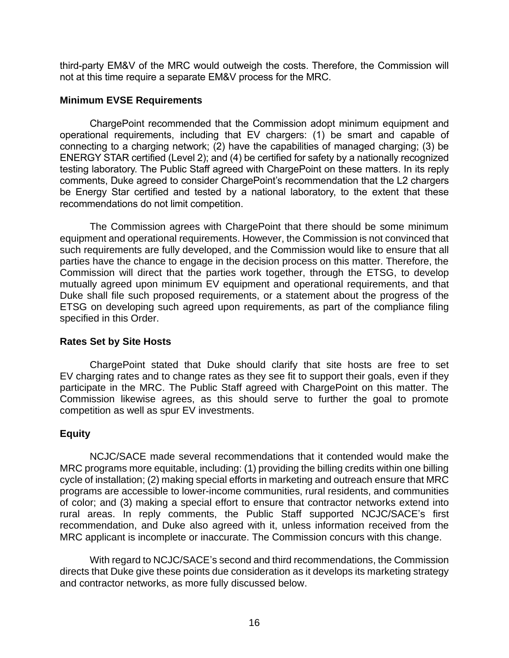third-party EM&V of the MRC would outweigh the costs. Therefore, the Commission will not at this time require a separate EM&V process for the MRC.

### **Minimum EVSE Requirements**

ChargePoint recommended that the Commission adopt minimum equipment and operational requirements, including that EV chargers: (1) be smart and capable of connecting to a charging network; (2) have the capabilities of managed charging; (3) be ENERGY STAR certified (Level 2); and (4) be certified for safety by a nationally recognized testing laboratory. The Public Staff agreed with ChargePoint on these matters. In its reply comments, Duke agreed to consider ChargePoint's recommendation that the L2 chargers be Energy Star certified and tested by a national laboratory, to the extent that these recommendations do not limit competition.

The Commission agrees with ChargePoint that there should be some minimum equipment and operational requirements. However, the Commission is not convinced that such requirements are fully developed, and the Commission would like to ensure that all parties have the chance to engage in the decision process on this matter. Therefore, the Commission will direct that the parties work together, through the ETSG, to develop mutually agreed upon minimum EV equipment and operational requirements, and that Duke shall file such proposed requirements, or a statement about the progress of the ETSG on developing such agreed upon requirements, as part of the compliance filing specified in this Order.

## **Rates Set by Site Hosts**

ChargePoint stated that Duke should clarify that site hosts are free to set EV charging rates and to change rates as they see fit to support their goals, even if they participate in the MRC. The Public Staff agreed with ChargePoint on this matter. The Commission likewise agrees, as this should serve to further the goal to promote competition as well as spur EV investments.

## **Equity**

NCJC/SACE made several recommendations that it contended would make the MRC programs more equitable, including: (1) providing the billing credits within one billing cycle of installation; (2) making special efforts in marketing and outreach ensure that MRC programs are accessible to lower-income communities, rural residents, and communities of color; and (3) making a special effort to ensure that contractor networks extend into rural areas. In reply comments, the Public Staff supported NCJC/SACE's first recommendation, and Duke also agreed with it, unless information received from the MRC applicant is incomplete or inaccurate. The Commission concurs with this change.

With regard to NCJC/SACE's second and third recommendations, the Commission directs that Duke give these points due consideration as it develops its marketing strategy and contractor networks, as more fully discussed below.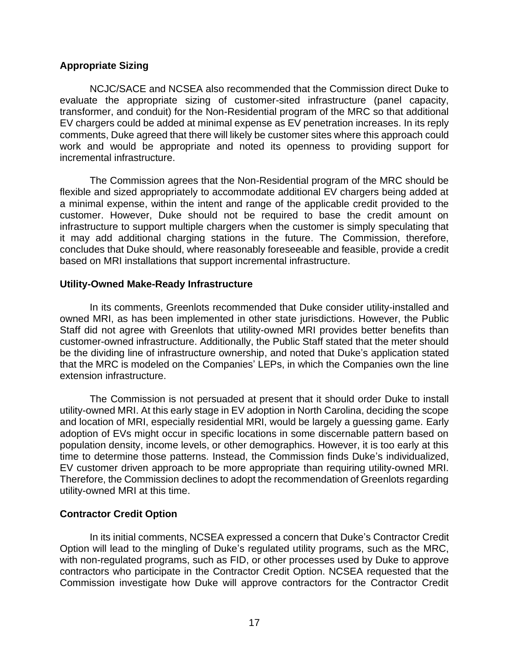## **Appropriate Sizing**

NCJC/SACE and NCSEA also recommended that the Commission direct Duke to evaluate the appropriate sizing of customer-sited infrastructure (panel capacity, transformer, and conduit) for the Non-Residential program of the MRC so that additional EV chargers could be added at minimal expense as EV penetration increases. In its reply comments, Duke agreed that there will likely be customer sites where this approach could work and would be appropriate and noted its openness to providing support for incremental infrastructure.

The Commission agrees that the Non-Residential program of the MRC should be flexible and sized appropriately to accommodate additional EV chargers being added at a minimal expense, within the intent and range of the applicable credit provided to the customer. However, Duke should not be required to base the credit amount on infrastructure to support multiple chargers when the customer is simply speculating that it may add additional charging stations in the future. The Commission, therefore, concludes that Duke should, where reasonably foreseeable and feasible, provide a credit based on MRI installations that support incremental infrastructure.

# **Utility-Owned Make-Ready Infrastructure**

In its comments, Greenlots recommended that Duke consider utility-installed and owned MRI, as has been implemented in other state jurisdictions. However, the Public Staff did not agree with Greenlots that utility-owned MRI provides better benefits than customer-owned infrastructure. Additionally, the Public Staff stated that the meter should be the dividing line of infrastructure ownership, and noted that Duke's application stated that the MRC is modeled on the Companies' LEPs, in which the Companies own the line extension infrastructure.

The Commission is not persuaded at present that it should order Duke to install utility-owned MRI. At this early stage in EV adoption in North Carolina, deciding the scope and location of MRI, especially residential MRI, would be largely a guessing game. Early adoption of EVs might occur in specific locations in some discernable pattern based on population density, income levels, or other demographics. However, it is too early at this time to determine those patterns. Instead, the Commission finds Duke's individualized, EV customer driven approach to be more appropriate than requiring utility-owned MRI. Therefore, the Commission declines to adopt the recommendation of Greenlots regarding utility-owned MRI at this time.

## **Contractor Credit Option**

In its initial comments, NCSEA expressed a concern that Duke's Contractor Credit Option will lead to the mingling of Duke's regulated utility programs, such as the MRC, with non-regulated programs, such as FID, or other processes used by Duke to approve contractors who participate in the Contractor Credit Option. NCSEA requested that the Commission investigate how Duke will approve contractors for the Contractor Credit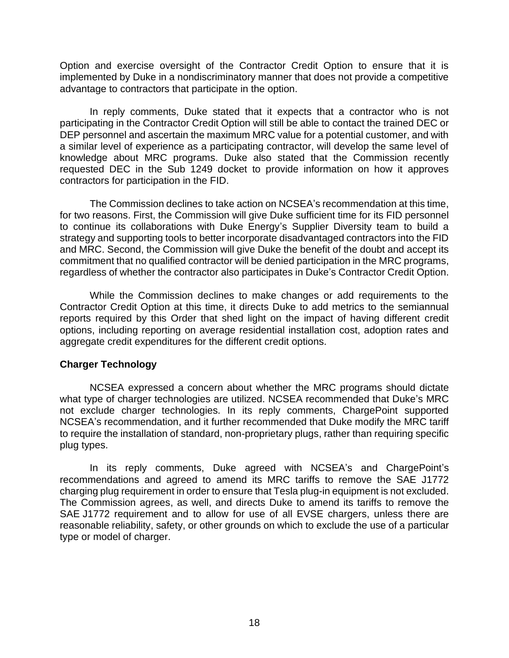Option and exercise oversight of the Contractor Credit Option to ensure that it is implemented by Duke in a nondiscriminatory manner that does not provide a competitive advantage to contractors that participate in the option.

In reply comments, Duke stated that it expects that a contractor who is not participating in the Contractor Credit Option will still be able to contact the trained DEC or DEP personnel and ascertain the maximum MRC value for a potential customer, and with a similar level of experience as a participating contractor, will develop the same level of knowledge about MRC programs. Duke also stated that the Commission recently requested DEC in the Sub 1249 docket to provide information on how it approves contractors for participation in the FID.

The Commission declines to take action on NCSEA's recommendation at this time, for two reasons. First, the Commission will give Duke sufficient time for its FID personnel to continue its collaborations with Duke Energy's Supplier Diversity team to build a strategy and supporting tools to better incorporate disadvantaged contractors into the FID and MRC. Second, the Commission will give Duke the benefit of the doubt and accept its commitment that no qualified contractor will be denied participation in the MRC programs, regardless of whether the contractor also participates in Duke's Contractor Credit Option.

While the Commission declines to make changes or add requirements to the Contractor Credit Option at this time, it directs Duke to add metrics to the semiannual reports required by this Order that shed light on the impact of having different credit options, including reporting on average residential installation cost, adoption rates and aggregate credit expenditures for the different credit options.

## **Charger Technology**

NCSEA expressed a concern about whether the MRC programs should dictate what type of charger technologies are utilized. NCSEA recommended that Duke's MRC not exclude charger technologies. In its reply comments, ChargePoint supported NCSEA's recommendation, and it further recommended that Duke modify the MRC tariff to require the installation of standard, non-proprietary plugs, rather than requiring specific plug types.

In its reply comments, Duke agreed with NCSEA's and ChargePoint's recommendations and agreed to amend its MRC tariffs to remove the SAE J1772 charging plug requirement in order to ensure that Tesla plug-in equipment is not excluded. The Commission agrees, as well, and directs Duke to amend its tariffs to remove the SAE J1772 requirement and to allow for use of all EVSE chargers, unless there are reasonable reliability, safety, or other grounds on which to exclude the use of a particular type or model of charger.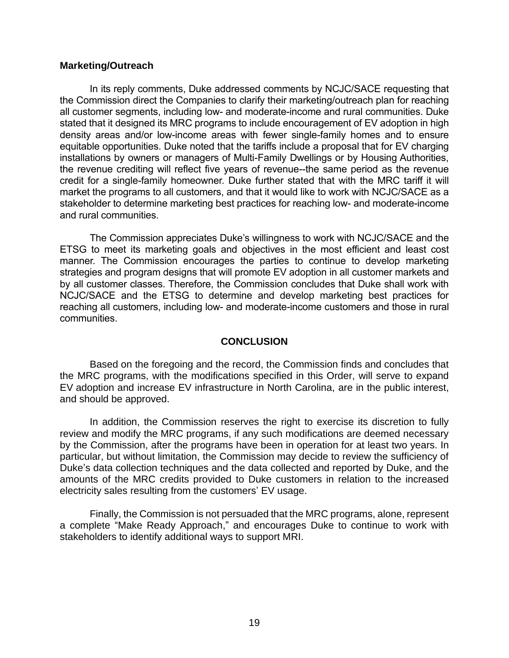### **Marketing/Outreach**

In its reply comments, Duke addressed comments by NCJC/SACE requesting that the Commission direct the Companies to clarify their marketing/outreach plan for reaching all customer segments, including low- and moderate-income and rural communities. Duke stated that it designed its MRC programs to include encouragement of EV adoption in high density areas and/or low-income areas with fewer single-family homes and to ensure equitable opportunities. Duke noted that the tariffs include a proposal that for EV charging installations by owners or managers of Multi-Family Dwellings or by Housing Authorities, the revenue crediting will reflect five years of revenue--the same period as the revenue credit for a single-family homeowner. Duke further stated that with the MRC tariff it will market the programs to all customers, and that it would like to work with NCJC/SACE as a stakeholder to determine marketing best practices for reaching low- and moderate-income and rural communities.

The Commission appreciates Duke's willingness to work with NCJC/SACE and the ETSG to meet its marketing goals and objectives in the most efficient and least cost manner. The Commission encourages the parties to continue to develop marketing strategies and program designs that will promote EV adoption in all customer markets and by all customer classes. Therefore, the Commission concludes that Duke shall work with NCJC/SACE and the ETSG to determine and develop marketing best practices for reaching all customers, including low- and moderate-income customers and those in rural communities.

## **CONCLUSION**

Based on the foregoing and the record, the Commission finds and concludes that the MRC programs, with the modifications specified in this Order, will serve to expand EV adoption and increase EV infrastructure in North Carolina, are in the public interest, and should be approved.

In addition, the Commission reserves the right to exercise its discretion to fully review and modify the MRC programs, if any such modifications are deemed necessary by the Commission, after the programs have been in operation for at least two years. In particular, but without limitation, the Commission may decide to review the sufficiency of Duke's data collection techniques and the data collected and reported by Duke, and the amounts of the MRC credits provided to Duke customers in relation to the increased electricity sales resulting from the customers' EV usage.

Finally, the Commission is not persuaded that the MRC programs, alone, represent a complete "Make Ready Approach," and encourages Duke to continue to work with stakeholders to identify additional ways to support MRI.